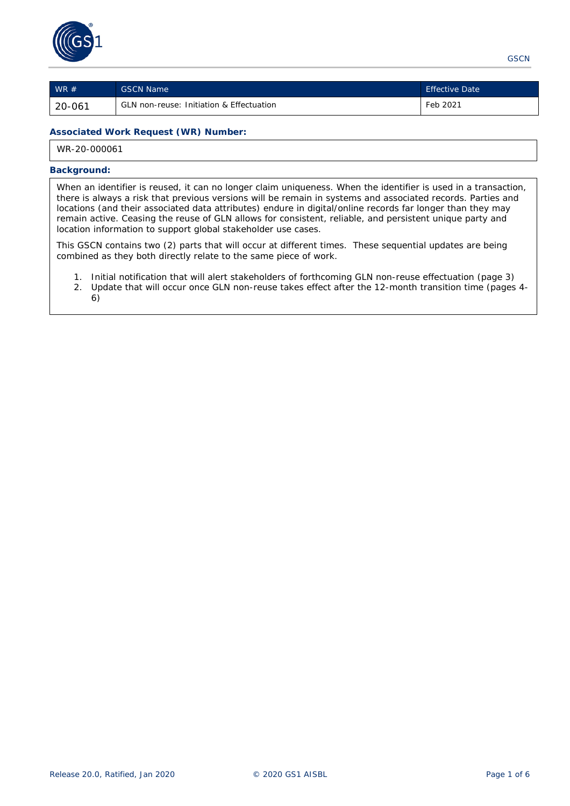

| $WR \#$ | <b>GSCN Name</b>                                    | <b>Effective Date</b> |
|---------|-----------------------------------------------------|-----------------------|
| 20-061  | <b>GLN non-reuse: Initiation &amp; Effectuation</b> | Feb 2021              |

### **Associated Work Request (WR) Number:**

WR-20-000061

### **Background:**

When an identifier is reused, it can no longer claim uniqueness. When the identifier is used in a transaction, there is always a risk that previous versions will be remain in systems and associated records. Parties and locations (and their associated data attributes) endure in digital/online records far longer than they may remain active. Ceasing the reuse of GLN allows for consistent, reliable, and persistent unique party and location information to support global stakeholder use cases.

This GSCN contains two (2) parts that will occur at different times. These sequential updates are being combined as they both directly relate to the same piece of work.

- 1. Initial notification that will alert stakeholders of forthcoming GLN non-reuse effectuation (page 3)
- 2. Update that will occur once GLN non-reuse takes effect *after* the 12-month transition time (pages 4- 6)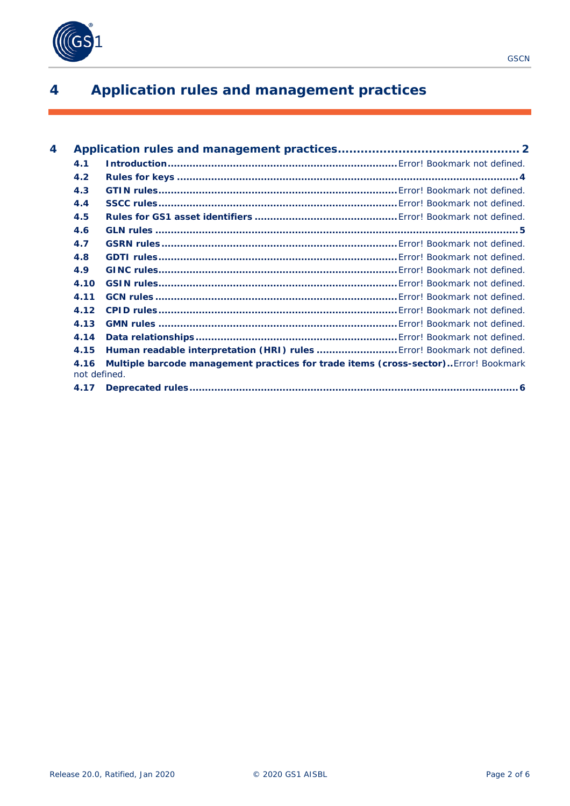

# <span id="page-1-0"></span>**4 Application rules and management practices**

| 4 |      |                                                                                                     |  |
|---|------|-----------------------------------------------------------------------------------------------------|--|
|   | 4.1  |                                                                                                     |  |
|   | 4.2  |                                                                                                     |  |
|   | 4.3  |                                                                                                     |  |
|   | 4.4  |                                                                                                     |  |
|   | 4.5  |                                                                                                     |  |
|   | 4.6  |                                                                                                     |  |
|   | 4.7  |                                                                                                     |  |
|   | 4.8  |                                                                                                     |  |
|   | 4.9  |                                                                                                     |  |
|   | 4.10 |                                                                                                     |  |
|   | 4.11 |                                                                                                     |  |
|   | 4.12 |                                                                                                     |  |
|   | 4.13 |                                                                                                     |  |
|   | 4.14 |                                                                                                     |  |
|   | 4.15 | Human readable interpretation (HRI) rules  Error! Bookmark not defined.                             |  |
|   | 4.16 | Multiple barcode management practices for trade items (cross-sector)Error! Bookmark<br>not defined. |  |
|   | 4.17 |                                                                                                     |  |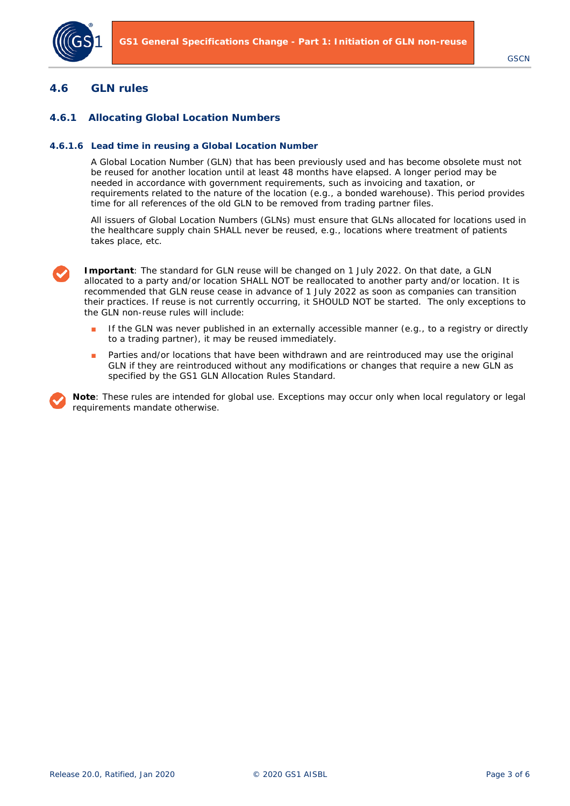

### **4.6 GLN rules**

### **4.6.1 Allocating Global Location Numbers**

#### **4.6.1.6 Lead time in reusing a Global Location Number**

A Global Location Number (GLN) that has been previously used and has become obsolete must not be reused for another location until at least 48 months have elapsed. A longer period may be needed in accordance with government requirements, such as invoicing and taxation, or requirements related to the nature of the location (e.g., a bonded warehouse). This period provides time for all references of the old GLN to be removed from trading partner files.

All issuers of Global Location Numbers (GLNs) must ensure that GLNs allocated for locations used in the healthcare supply chain SHALL never be reused, e.g., locations where treatment of patients takes place, etc.



**Important**: The standard for GLN reuse will be changed on 1 July 2022. On that date, a GLN allocated to a party and/or location SHALL NOT be reallocated to another party and/or location. It is recommended that GLN reuse cease in advance of 1 July 2022 as soon as companies can transition their practices. If reuse is not currently occurring, it SHOULD NOT be started. The only exceptions to the GLN non-reuse rules will include:

- If the GLN was never published in an externally accessible manner (e.g., to a registry or directly to a trading partner), it may be reused immediately.
- Parties and/or locations that have been withdrawn and are reintroduced may use the original GLN if they are reintroduced without any modifications or changes that require a new GLN as specified by the GS1 GLN Allocation Rules Standard.

**Note**: These rules are intended for global use. Exceptions may occur only when local regulatory or legal requirements mandate otherwise.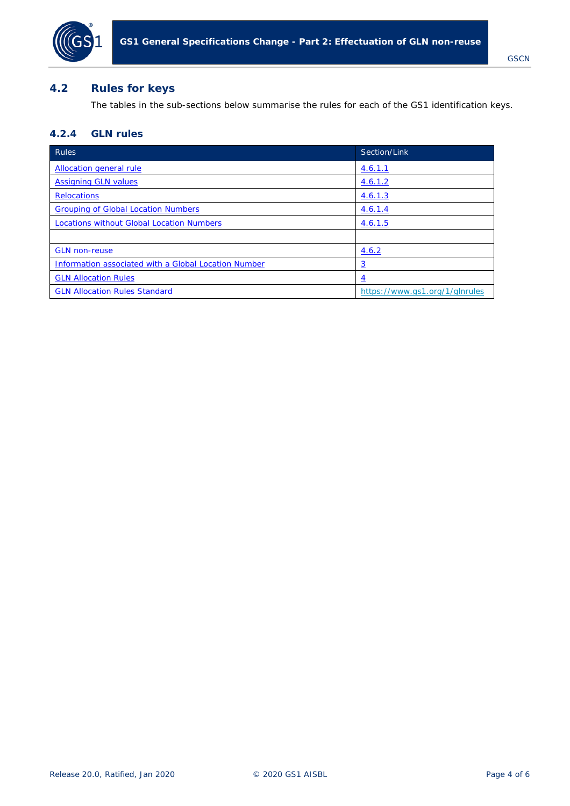

## <span id="page-3-0"></span>**4.2 Rules for keys**

The tables in the sub-sections below summarise the rules for each of the GS1 identification keys.

# **4.2.4 GLN rules**

| Rules                                                | Section/Link                   |
|------------------------------------------------------|--------------------------------|
| Allocation general rule                              | 4.6.1.1                        |
| <b>Assigning GLN values</b>                          | <u>4.6.1.2</u>                 |
| <b>Relocations</b>                                   | 4.6.1.3                        |
| <b>Grouping of Global Location Numbers</b>           | 4.6.1.4                        |
| <b>Locations without Global Location Numbers</b>     | 4.6.1.5                        |
|                                                      |                                |
| <b>GLN</b> non-reuse                                 | 4.6.2                          |
| Information associated with a Global Location Number | <u>3</u>                       |
| <b>GLN Allocation Rules</b>                          | <u>4</u>                       |
| <b>GLN Allocation Rules Standard</b>                 | https://www.gs1.org/1/glnrules |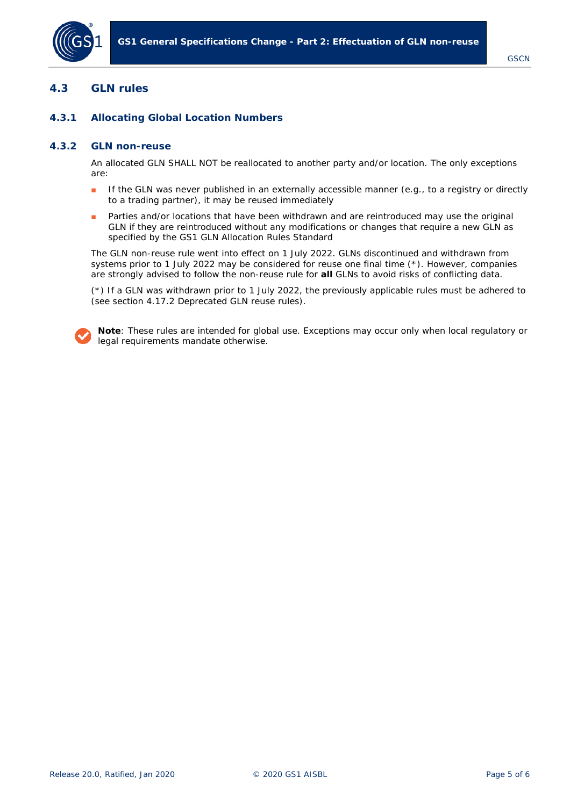

# **4.3 GLN rules**

## <span id="page-4-0"></span>**4.3.1 Allocating Global Location Numbers**

### **4.3.2 GLN non-reuse**

An allocated GLN SHALL NOT be reallocated to another party and/or location. The only exceptions are:

- If the GLN was never published in an externally accessible manner (e.g., to a registry or directly to a trading partner), it may be reused immediately
- Parties and/or locations that have been withdrawn and are reintroduced may use the original GLN if they are reintroduced without any modifications or changes that require a new GLN as specified by the GS1 GLN Allocation Rules Standard

The GLN non-reuse rule went into effect on 1 July 2022. GLNs discontinued and withdrawn from systems prior to 1 July 2022 may be considered for reuse one final time (\*). However, companies are strongly advised to follow the non-reuse rule for **all** GLNs to avoid risks of conflicting data.

(\*) If a GLN was withdrawn prior to 1 July 2022, the previously applicable rules must be adhered to (see section 4.17.2 *Deprecated GLN reuse rules*).

**Note**: These rules are intended for global use. Exceptions may occur only when local regulatory or legal requirements mandate otherwise.